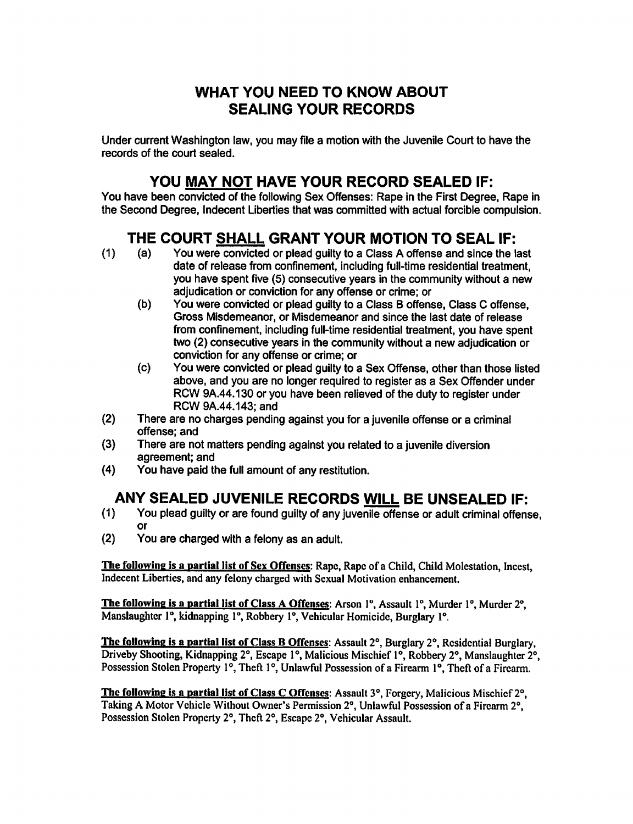## **WHAT YOU NEED TO KNOW ABOUT SEALING YOUR RECORDS**

Under current Washington law, you may file a motion with the Juvenile Court to have the records of the court sealed.

# YOU MAY NOT HAVE YOUR RECORD SEALED IF:

You have been convicted of the following Sex Offenses: Rape in the First Degree, Rape in the Second Degree, Indecent Liberties that was committed with actual forcible compulsion.

# THE COURT SHALL GRANT YOUR MOTION TO SEAL IF:

- You were convicted or plead quilty to a Class A offense and since the last  $(1)$  $(a)$ date of release from confinement, including full-time residential treatment. you have spent five (5) consecutive years in the community without a new adjudication or conviction for any offense or crime: or
	- $(b)$ You were convicted or plead quilty to a Class B offense, Class C offense, Gross Misdemeanor, or Misdemeanor and since the last date of release from confinement, including full-time residential treatment, you have spent two (2) consecutive years in the community without a new adjudication or conviction for any offense or crime: or
	- You were convicted or plead guilty to a Sex Offense, other than those listed  $(c)$ above, and you are no longer required to register as a Sex Offender under RCW 9A.44.130 or you have been relieved of the duty to register under RCW 9A.44.143; and
- $(2)$ There are no charges pending against you for a juvenile offense or a criminal offense: and
- $(3)$ There are not matters pending against you related to a juvenile diversion agreement: and
- $(4)$ You have paid the full amount of any restitution.

# ANY SEALED JUVENILE RECORDS WILL BE UNSEALED IF:

- You plead guilty or are found guilty of any juvenile offense or adult criminal offense.  $(1)$
- $(2)$ You are charged with a felony as an adult.

The following is a partial list of Sex Offenses: Rape, Rape of a Child, Child Molestation, Incest, Indecent Liberties, and any felony charged with Sexual Motivation enhancement.

The following is a partial list of Class A Offenses: Arson 1°, Assault 1°, Murder 1°, Murder 2°, Manslaughter 1°, kidnapping 1°, Robbery 1°, Vehicular Homicide, Burglary 1°.

The following is a partial list of Class B Offenses: Assault 2°, Burglary 2°, Residential Burglary, Driveby Shooting, Kidnapping 2°, Escape 1°, Malicious Mischief 1°, Robbery 2°, Manslaughter 2°, Possession Stolen Property 1°, Theft 1°, Unlawful Possession of a Firearm 1°, Theft of a Firearm.

The following is a partial list of Class C Offenses: Assault 3°, Forgery, Malicious Mischief 2°, Taking A Motor Vehicle Without Owner's Permission 2°, Unlawful Possession of a Firearm 2°, Possession Stolen Property 2°, Theft 2°, Escape 2°, Vehicular Assault.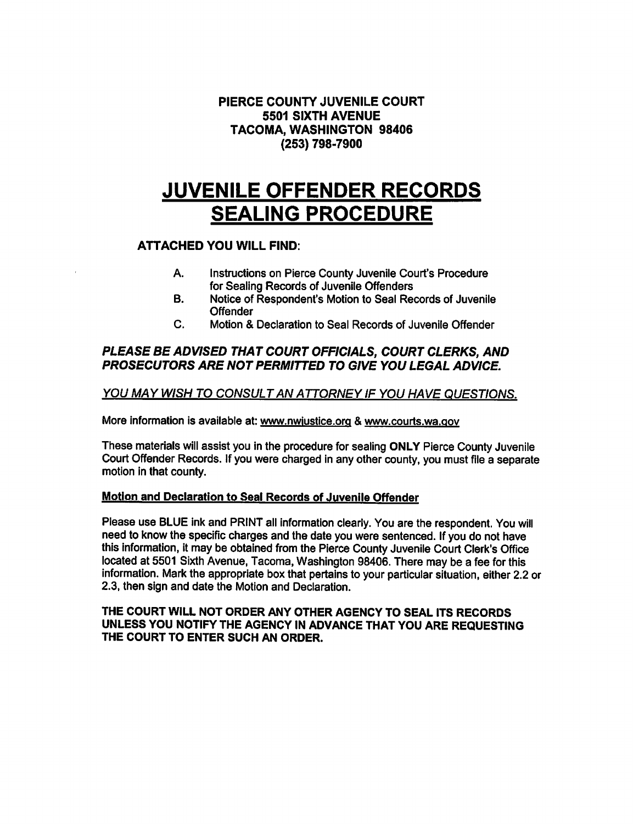PIERCE COUNTY JUVENILE COURT **5501 SIXTH AVENUE TACOMA, WASHINGTON 98406** (253) 798-7900

# **JUVENILE OFFENDER RECORDS SEALING PROCEDURE**

#### **ATTACHED YOU WILL FIND:**

- А. Instructions on Pierce County Juvenile Court's Procedure for Sealing Records of Juvenile Offenders
- **B.** Notice of Respondent's Motion to Seal Records of Juvenile **Offender**
- $C_{\cdot}$ Motion & Declaration to Seal Records of Juvenile Offender

## PLEASE BE ADVISED THAT COURT OFFICIALS, COURT CLERKS, AND PROSECUTORS ARE NOT PERMITTED TO GIVE YOU LEGAL ADVICE.

### YOU MAY WISH TO CONSULT AN ATTORNEY IF YOU HAVE QUESTIONS.

More information is available at: www.nwjustice.org & www.courts.wa.gov

These materials will assist you in the procedure for sealing ONLY Pierce County Juvenile Court Offender Records. If you were charged in any other county, you must file a separate motion in that county.

#### Motion and Declaration to Seal Records of Juvenile Offender

Please use BLUE ink and PRINT all information clearly. You are the respondent, You will need to know the specific charges and the date you were sentenced. If you do not have this information, it may be obtained from the Pierce County Juvenile Court Clerk's Office located at 5501 Sixth Avenue, Tacoma, Washington 98406. There may be a fee for this information. Mark the appropriate box that pertains to your particular situation, either 2.2 or 2.3, then sign and date the Motion and Declaration.

#### THE COURT WILL NOT ORDER ANY OTHER AGENCY TO SEAL ITS RECORDS UNLESS YOU NOTIFY THE AGENCY IN ADVANCE THAT YOU ARE REQUESTING THE COURT TO ENTER SUCH AN ORDER.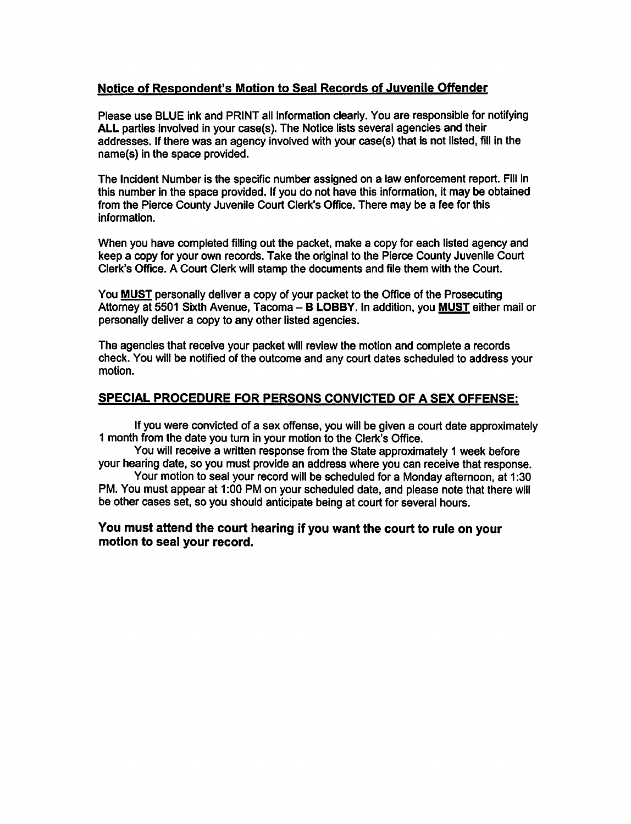### Notice of Respondent's Motion to Seal Records of Juvenile Offender

Please use BLUE ink and PRINT all information clearly. You are responsible for notifying ALL parties involved in your case(s). The Notice lists several agencies and their addresses. If there was an agency involved with your case(s) that is not listed, fill in the name(s) in the space provided.

The Incident Number is the specific number assigned on a law enforcement report. Fill in this number in the space provided. If you do not have this information, it may be obtained from the Pierce County Juvenile Court Clerk's Office. There may be a fee for this information.

When you have completed filling out the packet, make a copy for each listed agency and keep a copy for your own records. Take the original to the Pierce County Juvenile Court Clerk's Office. A Court Clerk will stamp the documents and file them with the Court.

You MUST personally deliver a copy of your packet to the Office of the Prosecuting Attorney at 5501 Sixth Avenue, Tacoma - B LOBBY. In addition, you MUST either mail or personally deliver a copy to any other listed agencies.

The agencies that receive your packet will review the motion and complete a records check. You will be notified of the outcome and any court dates scheduled to address your motion.

## SPECIAL PROCEDURE FOR PERSONS CONVICTED OF A SEX OFFENSE:

If you were convicted of a sex offense, you will be given a court date approximately 1 month from the date you turn in your motion to the Clerk's Office.

You will receive a written response from the State approximately 1 week before your hearing date, so you must provide an address where you can receive that response.

Your motion to seal your record will be scheduled for a Monday afternoon, at 1:30 PM. You must appear at 1:00 PM on your scheduled date, and please note that there will be other cases set, so you should anticipate being at court for several hours.

### You must attend the court hearing if you want the court to rule on your motion to seal your record.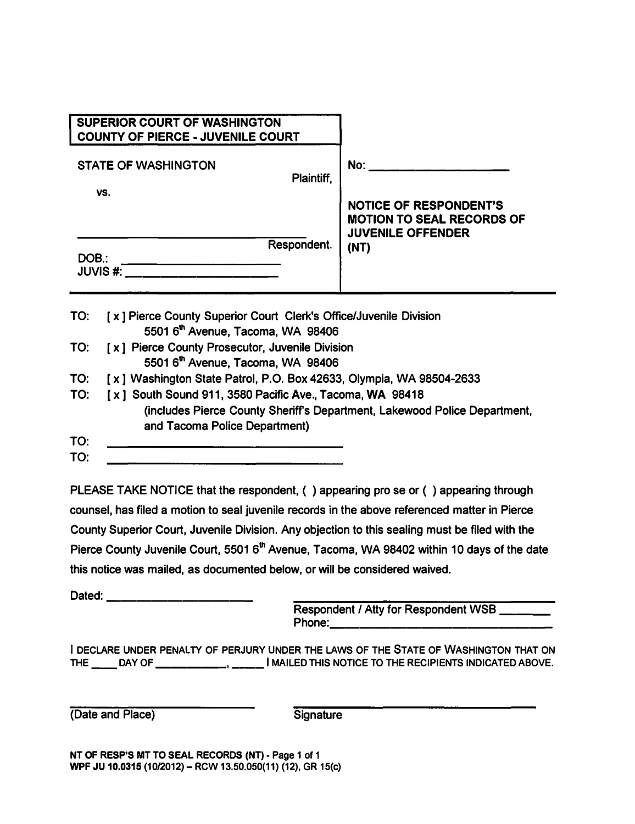|                                                                                                               | <b>SUPERIOR COURT OF WASHINGTON</b><br><b>COUNTY OF PIERCE - JUVENILE COURT</b>                                                                                                                                                                      |                                                                          |  |  |  |
|---------------------------------------------------------------------------------------------------------------|------------------------------------------------------------------------------------------------------------------------------------------------------------------------------------------------------------------------------------------------------|--------------------------------------------------------------------------|--|--|--|
|                                                                                                               | <b>STATE OF WASHINGTON</b><br>Plaintiff,<br>VS.                                                                                                                                                                                                      | No:<br><b>NOTICE OF RESPONDENT'S</b><br><b>MOTION TO SEAL RECORDS OF</b> |  |  |  |
| DOB.:                                                                                                         | Respondent.<br>JUVIS#:                                                                                                                                                                                                                               | <b>JUVENILE OFFENDER</b><br>(NT)                                         |  |  |  |
| TO:<br>[x] Pierce County Superior Court Clerk's Office/Juvenile Division<br>5501 6th Avenue, Tacoma, WA 98406 |                                                                                                                                                                                                                                                      |                                                                          |  |  |  |
| TO:                                                                                                           | [x] Pierce County Prosecutor, Juvenile Division<br>5501 6 <sup>th</sup> Avenue, Tacoma, WA 98406                                                                                                                                                     |                                                                          |  |  |  |
| TO:                                                                                                           | [x] Washington State Patrol, P.O. Box 42633, Olympia, WA 98504-2633<br>TO:<br>[x] South Sound 911, 3580 Pacific Ave., Tacoma, WA 98418<br>(includes Pierce County Sheriff's Department, Lakewood Police Department,<br>and Tacoma Police Department) |                                                                          |  |  |  |

**TO: TO:** 

**PLEASE TAKE NOTICE that the respondent, ( ) appearing pro se or ( ) appearing through counsel, has filed a motion to seal juvenile records in the above referenced matter in Pierce County Superior Court, Juvenile Division. Any objection to this sealing must be filed with the**  Pierce County Juvenile Court, 5501 6<sup>th</sup> Avenue, Tacoma, WA 98402 within 10 days of the date **this notice was mailed, as documented below, or will be considered waived.** 

Dated: \_\_\_\_\_\_\_\_\_\_\_\_\_\_\_\_\_\_\_\_\_\_\_\_\_\_

**Respondent / Atty for Respondent WSB \_\_ \_**  Phone:

I DECLARE UNDER PENALTY OF PERJURY UNDER THE LAWS OF THE STATE OF WASHINGTON THAT ON THE \_\_\_\_\_DAY OF \_\_\_\_\_\_\_\_\_\_\_\_\_<sub>®</sub> \_\_\_\_\_\_\_**I** MAILED THIS NOTICE TO THE RECIPIENTS INDICATED ABOVE.

**(Date and Place) Signature**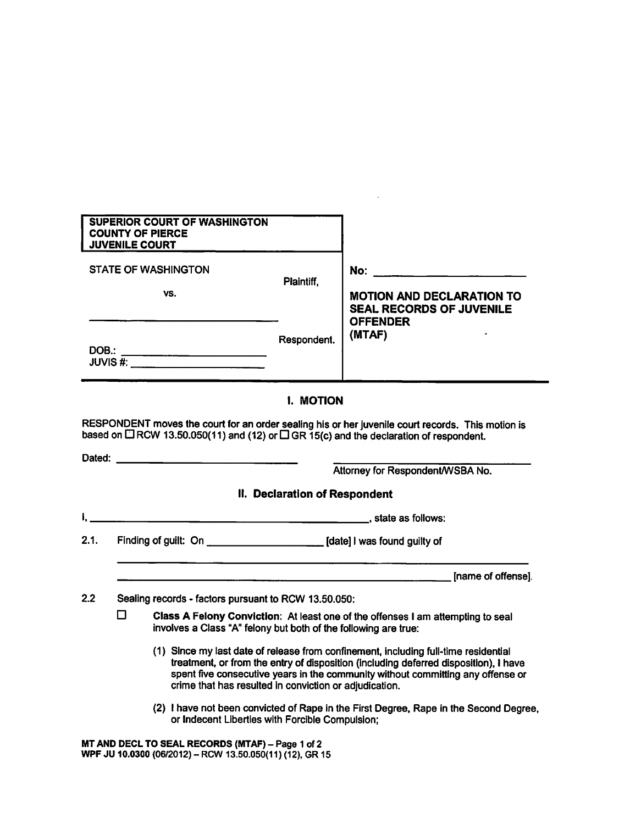| SUPERIOR COURT OF WASHINGTON<br><b>COUNTY OF PIERCE</b><br><b>JUVENILE COURT</b> |                                                                                                                                                                                                                                                                                                                          |                                                       |                               |                                                                                                                                                                                                       |  |
|----------------------------------------------------------------------------------|--------------------------------------------------------------------------------------------------------------------------------------------------------------------------------------------------------------------------------------------------------------------------------------------------------------------------|-------------------------------------------------------|-------------------------------|-------------------------------------------------------------------------------------------------------------------------------------------------------------------------------------------------------|--|
| <b>STATE OF WASHINGTON</b>                                                       |                                                                                                                                                                                                                                                                                                                          |                                                       | Plaintiff.<br>Respondent.     |                                                                                                                                                                                                       |  |
|                                                                                  | VS.<br>DOB.:                                                                                                                                                                                                                                                                                                             |                                                       |                               | <b>MOTION AND DECLARATION TO</b><br><b>SEAL RECORDS OF JUVENILE</b><br><b>OFFENDER</b><br>(MTAF)                                                                                                      |  |
|                                                                                  |                                                                                                                                                                                                                                                                                                                          |                                                       |                               |                                                                                                                                                                                                       |  |
|                                                                                  |                                                                                                                                                                                                                                                                                                                          |                                                       | 1. MOTION                     |                                                                                                                                                                                                       |  |
|                                                                                  |                                                                                                                                                                                                                                                                                                                          |                                                       |                               | RESPONDENT moves the court for an order sealing his or her juvenile court records. This motion is<br>based on $\Box$ RCW 13.50.050(11) and (12) or $\Box$ GR 15(c) and the declaration of respondent. |  |
|                                                                                  |                                                                                                                                                                                                                                                                                                                          |                                                       |                               |                                                                                                                                                                                                       |  |
|                                                                                  |                                                                                                                                                                                                                                                                                                                          |                                                       |                               | Attorney for Respondent/WSBA No.                                                                                                                                                                      |  |
|                                                                                  |                                                                                                                                                                                                                                                                                                                          |                                                       | II. Declaration of Respondent |                                                                                                                                                                                                       |  |
|                                                                                  |                                                                                                                                                                                                                                                                                                                          |                                                       |                               |                                                                                                                                                                                                       |  |
| 2.1.                                                                             |                                                                                                                                                                                                                                                                                                                          |                                                       |                               |                                                                                                                                                                                                       |  |
|                                                                                  |                                                                                                                                                                                                                                                                                                                          |                                                       |                               | represent the contract of the contract of the contract of the contract of the contract of the contract of the c                                                                                       |  |
| 2.2                                                                              | Sealing records - factors pursuant to RCW 13.50.050:                                                                                                                                                                                                                                                                     |                                                       |                               |                                                                                                                                                                                                       |  |
|                                                                                  | □<br>Class A Felony Conviction: At least one of the offenses I am attempting to seal<br>involves a Class "A" felony but both of the following are true:                                                                                                                                                                  |                                                       |                               |                                                                                                                                                                                                       |  |
|                                                                                  | (1) Since my last date of release from confinement, including full-time residential<br>treatment, or from the entry of disposition (including deferred disposition), I have<br>spent five consecutive years in the community without committing any offense or<br>crime that has resulted in conviction or adjudication. |                                                       |                               |                                                                                                                                                                                                       |  |
|                                                                                  | (2) I have not been convicted of Rape in the First Degree, Rape in the Second Degree,<br>or Indecent Liberties with Forcible Compulsion;                                                                                                                                                                                 |                                                       |                               |                                                                                                                                                                                                       |  |
|                                                                                  |                                                                                                                                                                                                                                                                                                                          | <b>MT AND DECL TO SEAL DECODDS (MTAE)</b> Dans 1 of 2 |                               |                                                                                                                                                                                                       |  |

MT AND DECL TO SEAL RECORDS (MTAF) - Page 1 of 2<br>WPF JU 10.0300 (06/2012) - RCW 13.50.050(11) (12), GR 15